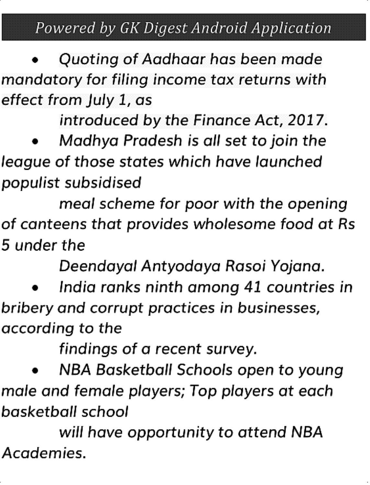## Powered by GK Digest Android Application

 Quoting of Aadhaar has been made mandatory for filing income tax returns with effect from July 1, as

introduced by the Finance Act, 2017.

 Madhya Pradesh is all set to join the league of those states which have launched populist subsidised

meal scheme for poor with the opening of canteens that provides wholesome food at Rs 5 under the

Deendayal Antyodaya Rasoi Yojana.

 India ranks ninth among 41 countries in bribery and corrupt practices in businesses, according to the

findings of a recent survey.

 NBA Basketball Schools open to young male and female players; Top players at each basketball school

will have opportunity to attend NBA Academies.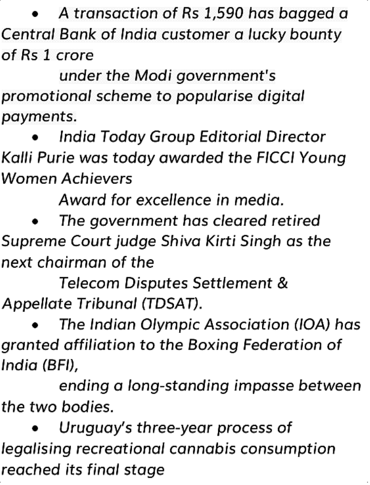A transaction of Rs 1,590 has bagged a Central Bank of India customer a lucky bounty of Rs 1crore

under the Modi government's promotional scheme to popularise digital payments.

 India Today Group Editorial Director Kalli Purie was today awarded the FICCI Young Women Achievers

Award for excellence in media.

 The government has cleared retired Supreme Court judge Shiva Kirti Singh as the next chairman of the

Telecom Disputes Settlement & Appellate Tribunal (TDSAT).

 The Indian Olympic Association (IOA) has granted affiliation to the Boxing Federation of India (BFI),

ending a long-standing impasse between the two bodies.

 Uruguay's three-year process of legalising recreational cannabis consumption reached its final stage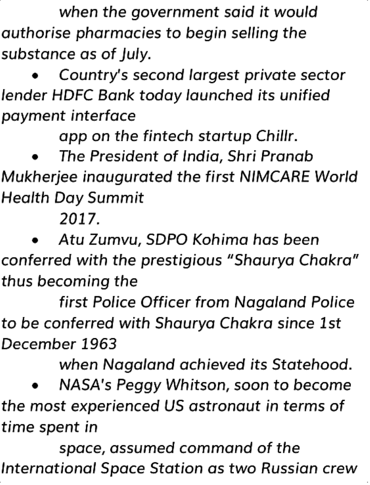when the government said it would authorise pharmacies to begin selling the substance as of July.

 Country's second largest private sector lender HDFC Bank today launched its unified payment interface

app on the fintech startup Chillr.

 The President of India, Shri Pranab Mukherjee inaugurated the first NIMCARE World Health Day Summit

2017.

 Atu Zumvu, SDPO Kohima has been conferred with the prestigious "Shaurya Chakra" thus becoming the

first Police Officer from Nagaland Police to be conferred with Shaurya Chakra since 1st December 1963

when Nagaland achieved its Statehood.

 NASA's Peggy Whitson, soon to become the most experienced US astronaut in terms of time spent in

space, assumed command of the International Space Station as two Russian crew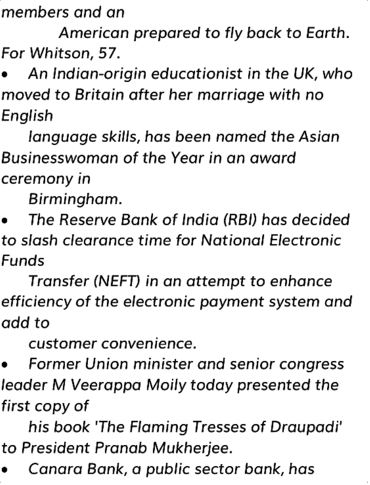members and an

American prepared to fly back to Earth. For Whitson, 57.

 An Indian-origin educationist in the UK, who moved to Britain after her marriage with no English

language skills, has been named the Asian Businesswoman of the Year in an award ceremony in

Birmingham.

 The Reserve Bank of India (RBI) has decided to slash clearance time for National Electronic Funds

Transfer (NEFT) in an attempt to enhance efficiency of the electronic payment system and add to

customer convenience.

 Former Union minister and senior congress leader M Veerappa Moily today presented the first copy of

his book 'The Flaming Tresses of Draupadi' to President Pranab Mukherjee.

Canara Bank, a public sector bank, has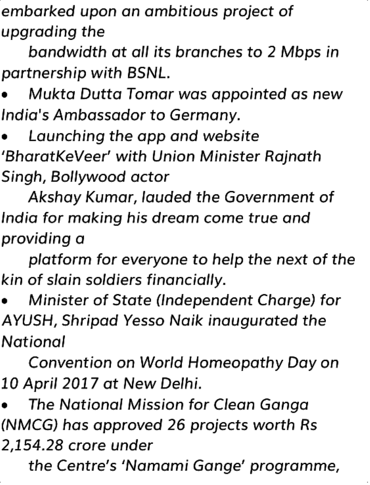embarked upon an ambitious project of upgrading the

bandwidth at all its branches to 2 Mbps in partnership with BSNL.

 Mukta Dutta Tomar was appointed as new India's Ambassador to Germany.

 Launching the app and website 'BharatKeVeer' with Union Minister Rajnath Singh, Bollywood actor

Akshay Kumar, lauded the Government of India for making his dream come true and providing a

platform for everyone to help the next of the kin of slain soldiers financially.

 Minister of State (Independent Charge) for AYUSH, Shripad Yesso Naik inaugurated the National

Convention on World Homeopathy Day on 10 April 2017 at New Delhi.

 The National Mission for Clean Ganga (NMCG) has approved 26 projects worth Rs 2,154.28 crore under

the Centre's 'Namami Gange' programme,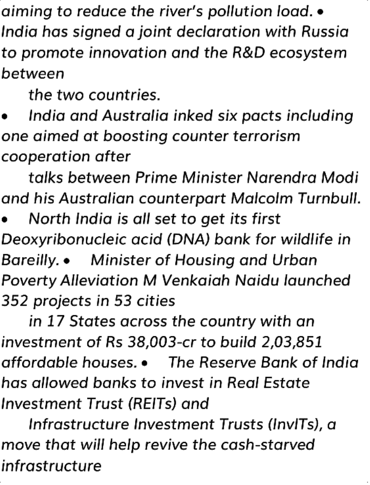aiming to reduce the river's pollution load. India has signed a joint declaration with Russia to promote innovation and the R&D ecosystem between

the two countries.

 India and Australia inked six pacts including one aimed at boosting counter terrorism cooperation after

talks between Prime Minister Narendra Modi and his Australian counterpart Malcolm Turnbull.

 North India is all set to get its first Deoxyribonucleic acid (DNA) bank for wildlife in Bareilly. Minister of Housing and Urban Poverty Alleviation M Venkaiah Naidu launched 352 projects in 53 cities

in 17 States across the country with an investment of Rs 38,003-cr to build 2,03,851 affordable houses. The Reserve Bank of India has allowed banks to invest in Real Estate Investment Trust (REITs) and

Infrastructure Investment Trusts (InvITs), a move that will help revive the cash-starved infrastructure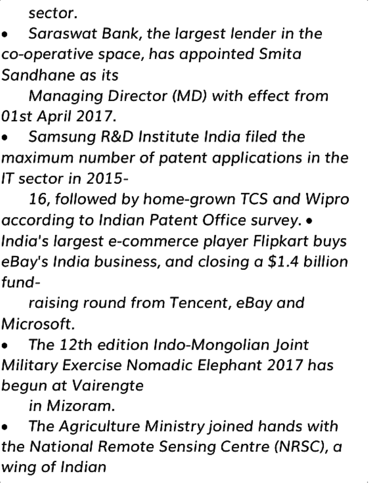sector.

 Saraswat Bank, the largest lender in the co-operative space, has appointed Smita Sandhane as its

Managing Director (MD) with effect from 01st April 2017.

 Samsung R&D Institute India filed the maximum number of patent applications in the IT sector in 2015-

16, followed by home-grown TCS and Wipro according to Indian Patent Office survey. . India's largest e-commerce player Flipkart buys eBay's India business, and closing a \$1.4 billion fund-

raising round from Tencent, eBay and Microsoft.

 The 12th edition Indo-Mongolian Joint Military Exercise Nomadic Elephant 2017 has begun at Vairengte

in Mizoram.

 The Agriculture Ministry joined hands with the National Remote Sensing Centre (NRSC), a wing of Indian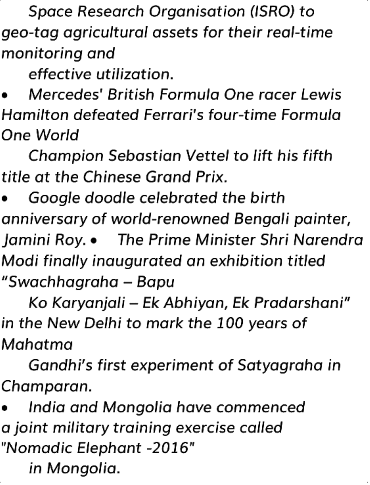Space Research Organisation (ISRO) to geo-tag agricultural assets for their real-time monitoring and

effective utilization.

 Mercedes' British Formula One racer Lewis Hamilton defeated Ferrari's four-time Formula One World

Champion Sebastian Vettel to lift his fifth title at the Chinese Grand Prix.

 Google doodle celebrated the birth anniversary of world-renowned Bengali painter, Jamini Roy. • The Prime Minister Shri Narendra Modi finally inaugurated an exhibition titled "Swachhagraha – Bapu

Ko Karyanjali – Ek Abhiyan, Ek Pradarshani" in the New Delhi to mark the 100 years of Mahatma

Gandhi's first experiment of Satyagraha in Champaran.

 India and Mongolia have commenced a joint military training exercise called "Nomadic Elephant -2016"

in Mongolia.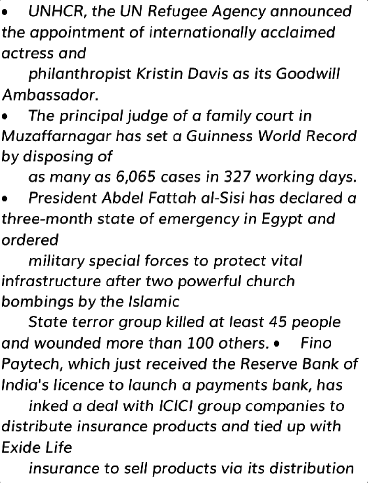UNHCR, the UN Refugee Agency announced the appointment of internationally acclaimed actress and

philanthropist Kristin Davis as its Goodwill Ambassador.

 The principal judge of a family court in Muzaffarnagar has set a Guinness World Record by disposing of

as many as 6,065 cases in 327 working days.

 President Abdel Fattah al-Sisi has declared a three-month state of emergency in Egypt and ordered

military special forces to protect vital infrastructure after two powerful church bombings by the Islamic

State terror group killed at least 45 people and wounded more than 100 others. Fino Paytech, which just received the Reserve Bank of India's licence to launch a payments bank, has

inked a deal with ICICI group companies to distribute insurance products and tied up with Exide Life

insurance to sell products via its distribution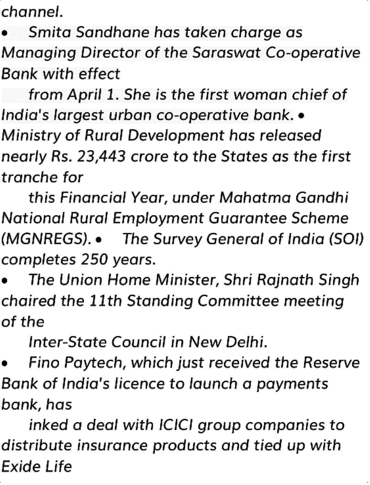channel.

 Smita Sandhane has taken charge as Managing Director of the Saraswat Co-operative Bank with effect

from April 1. She is the first woman chief of India's largest urban co-operative bank. Ministry of Rural Development has released nearly Rs. 23,443 crore to the States as the first tranche for

this Financial Year, under Mahatma Gandhi National Rural Employment Guarantee Scheme (MGNREGS). The Survey General of India (SOI) completes 250 years.

 The Union Home Minister, Shri Rajnath Singh chaired the 11th Standing Committee meeting of the

Inter-State Council in New Delhi.

 Fino Paytech, which just received the Reserve Bank of India's licence to launch a payments bank, has

inked a deal with ICICI group companies to distribute insurance products and tied up with Exide Life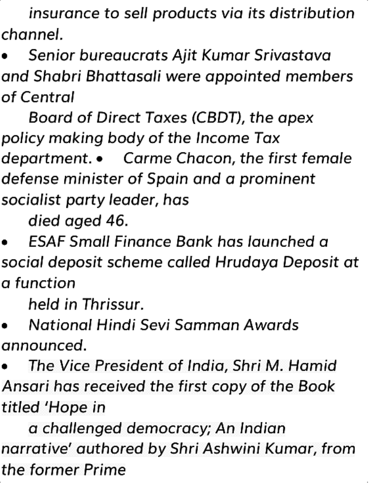insurance to sell products via its distribution channel.

 Senior bureaucrats Ajit Kumar Srivastava and Shabri Bhattasali were appointed members of Central

Board of Direct Taxes (CBDT), the apex policy making body of the Income Tax department. Carme Chacon, the first female defense minister of Spain and a prominent socialist party leader, has

died aged 46.

 ESAF Small Finance Bank has launched a social deposit scheme called Hrudaya Deposit at a function

held in Thrissur.

 National Hindi Sevi Samman Awards announced.

 The Vice President of India, Shri M. Hamid Ansari has received the first copy of the Book titled 'Hope in

a challenged democracy; An Indian narrative' authored by Shri Ashwini Kumar, from the former Prime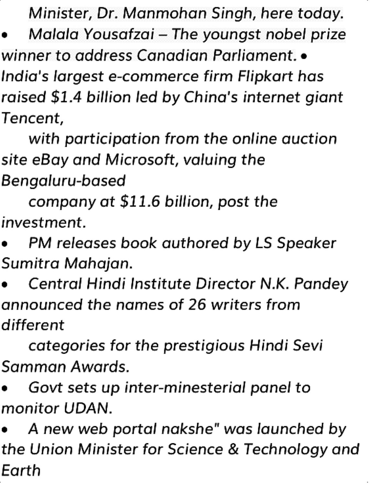Minister, Dr. Manmohan Singh, here today.

 Malala Yousafzai – The youngst nobel prize winner to address Canadian Parliament. • India's largest e-commerce firm Flipkart has raised \$1.4 billion led by China's internet giant Tencent,

with participation from the online auction site eBay and Microsoft, valuing the Bengaluru-based

company at \$11.6 billion, post the investment.

 PM releases book authored by LS Speaker Sumitra Mahajan.

 Central Hindi Institute Director N.K. Pandey announced the names of 26 writers from different

categories for the prestigious Hindi Sevi Samman Awards.

 Govt sets up inter-minesterial panel to monitor UDAN.

 A new web portal nakshe" was launched by the Union Minister for Science & Technology and Earth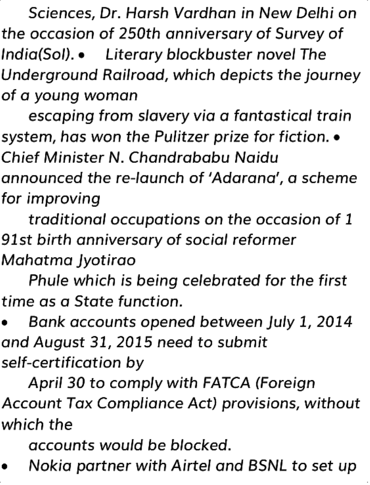Sciences, Dr. Harsh Vardhan in New Delhi on the occasion of 250th anniversary of Survey of India(SoI). Literary blockbuster novel The Underground Railroad, which depicts the journey of a young woman

escaping from slavery via a fantastical train system, has won the Pulitzer prize for fiction.  $\bullet$ Chief Minister N. Chandrababu Naidu announced the re-launch of 'Adarana', a scheme for improving

traditional occupations on the occasion of 1 91st birth anniversary of social reformer Mahatma Jyotirao

Phule which is being celebrated for the first time as a State function.

 Bank accounts opened between July 1, 2014 and August 31, 2015 need to submit self-certification by

April 30 to comply with FATCA (Foreign Account Tax Compliance Act) provisions, without which the

accounts would be blocked.

Nokia partner with Airtel and BSNL to set up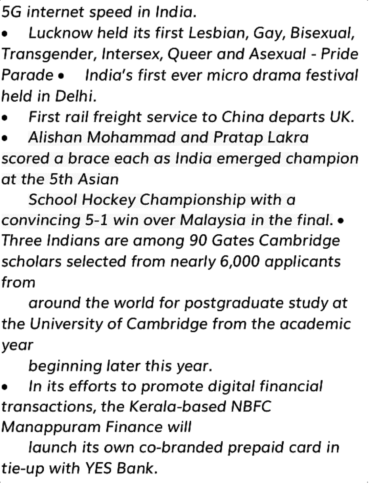5G internet speed in India.

 Lucknow held its first Lesbian, Gay, Bisexual, Transgender, Intersex, Queer and Asexual - Pride Parade • India's first ever micro drama festival held in Delhi.

First rail freight service to China departs UK.

 Alishan Mohammad and Pratap Lakra scored a brace each as India emerged champion at the 5th Asian

School Hockey Championship with a convincing 5-1 win over Malaysia in the final. Three Indians are among 90 Gates Cambridge scholars selected from nearly 6,000 applicants from

around the world for postgraduate study at the University of Cambridge from the academic year

beginning later this year.

 In its efforts to promote digital financial transactions, the Kerala-based NBFC

Manappuram Finance will

launch its own co-branded prepaid card in tie-up with YES Bank.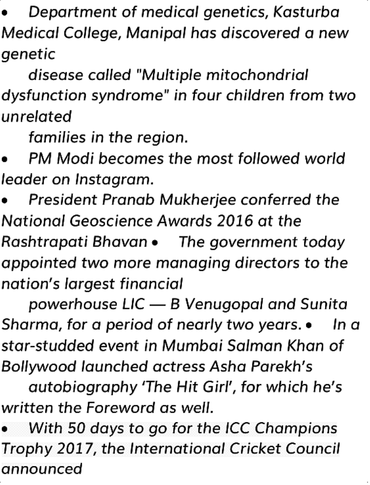Department of medical genetics, Kasturba Medical College, Manipal has discovered a new genetic

disease called "Multiple mitochondrial dysfunction syndrome" in four children from two unrelated

families in the region.

 PM Modi becomes the most followed world leader on Instagram.

 President Pranab Mukherjee conferred the National Geoscience Awards 2016 at the Rashtrapati Bhavan • The government today appointed two more managing directors to the nation's largest financial

powerhouse LIC — B Venugopal and Sunita Sharma, for a period of nearly two years.  $\bullet$  In a star-studded event in Mumbai Salman Khan of Bollywood launched actress Asha Parekh's

autobiography 'The Hit Girl', for which he's written the Foreword as well.

 With 50 days to go for the ICC Champions Trophy 2017, the International Cricket Council announced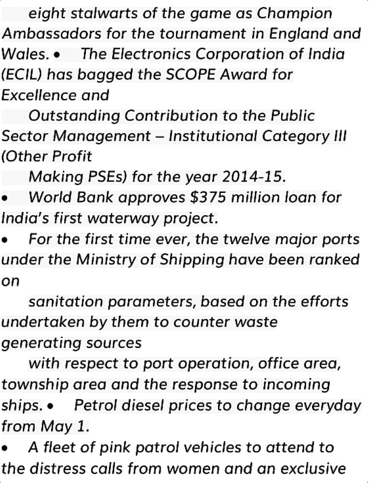eight stalwarts of the game as Champion Ambassadors for the tournament in England and Wales. The Electronics Corporation of India (ECIL) has bagged the SCOPE Award for Excellence and

Outstanding Contribution to the Public Sector Management – Institutional Category III (Other Profit

Making PSEs) for the year 2014-15.

 World Bank approves \$375 million loan for India's first waterway project.

 For the first time ever, the twelve major ports under the Ministry of Shipping have been ranked on

sanitation parameters, based on the efforts undertaken by them to counter waste generating sources

with respect to port operation, office area, township area and the response to incoming ships. • Petrol diesel prices to change everyday from May 1.

 A fleet of pink patrol vehicles to attend to the distress calls from women and an exclusive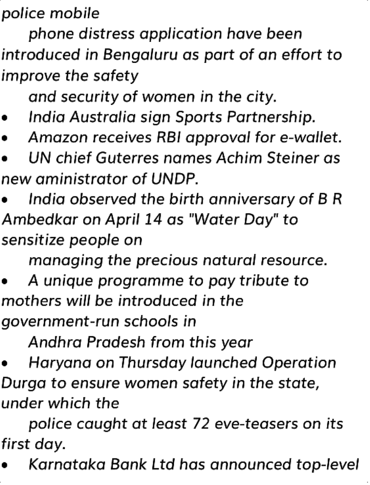police mobile

phone distress application have been introduced in Bengaluru as part of an effort to improve the safety

and security of women in the city.

- India Australia sign Sports Partnership.
- Amazon receives RBI approval for e-wallet.

 UN chief Guterres names Achim Steiner as new aministrator of UNDP.

 India observed the birth anniversary of B <sup>R</sup> Ambedkar on April 14 as "Water Day" to sensitize people on

managing the precious natural resource.

 A unique programme to pay tribute to mothers will be introduced in the government-run schools in

Andhra Pradesh from this year

 Haryana on Thursday launched Operation Durga to ensure women safety in the state, under which the

police caught at least 72 eve-teasers on its first day.

Karnataka Bank Ltd has announced top-level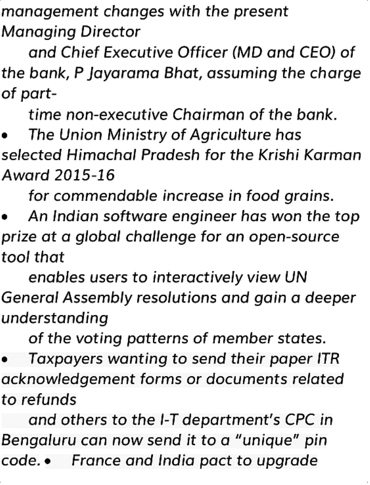management changes with the present Managing Director

and Chief Executive Officer (MD and CEO) of the bank, P Jayarama Bhat, assuming the charge of part-

time non-executive Chairman of the bank.

 The Union Ministry of Agriculture has selected Himachal Pradesh for the Krishi Karman Award 2015-16

for commendable increase in food grains.

 An Indian software engineer has won the top prize at a global challenge for an open-source tool that

enables users to interactively view UN General Assembly resolutions and gain a deeper understanding

of the voting patterns of member states.

 Taxpayers wanting to send their paper ITR acknowledgement forms or documents related to refunds

and others to the I-T department's CPC in Bengaluru can now send it to a "unique" pin code. France and India pact to upgrade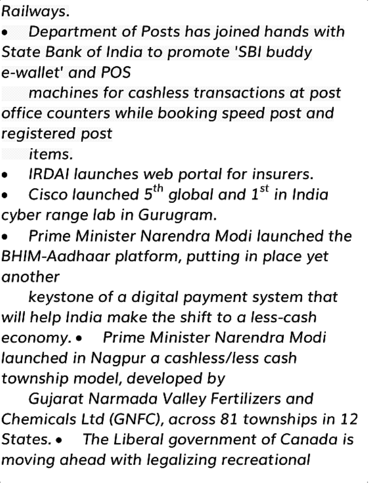Railways.

 Department of Posts has joined hands with State Bank of India to promote 'SBI buddy e-wallet' and POS

machines for cashless transactions at post office counters while booking speed post and registered post

items.

IRDAI launches web portal for insurers.

• Cisco launched  $5^{th}$  global and  $1^{st}$  in India cyber range lab in Gurugram.

 Prime Minister Narendra Modi launched the BHIM-Aadhaar platform, putting in place yet another

keystone of a digital payment system that will help India make the shift to a less-cash economy. • Prime Minister Narendra Modi launched in Nagpur a cashless/less cash township model, developed by

Gujarat Narmada Valley Fertilizers and Chemicals Ltd (GNFC), across 81 townships in 12 States. The Liberal government of Canada is moving ahead with legalizing recreational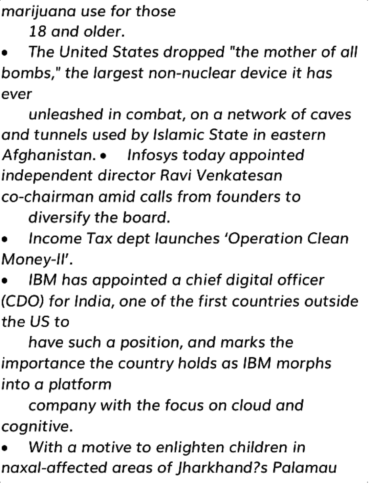marijuana use for those

18 and older.

 The United States dropped "the mother of all bombs," the largest non-nuclear device it has ever

unleashed in combat, on a network of caves and tunnels used by Islamic State in eastern Afghanistan. • Infosys today appointed independent director Ravi Venkatesan co-chairman amid calls from founders to diversify the board.

 Income Tax dept launches 'Operation Clean Money-II'.

 IBM has appointed a chief digital officer (CDO) for India, one of the first countries outside the US to

have such a position, and marks the importance the country holds as IBM morphs into a platform

company with the focus on cloud and cognitive.

 With a motive to enlighten children in naxal-affected areas of Jharkhand?s Palamau